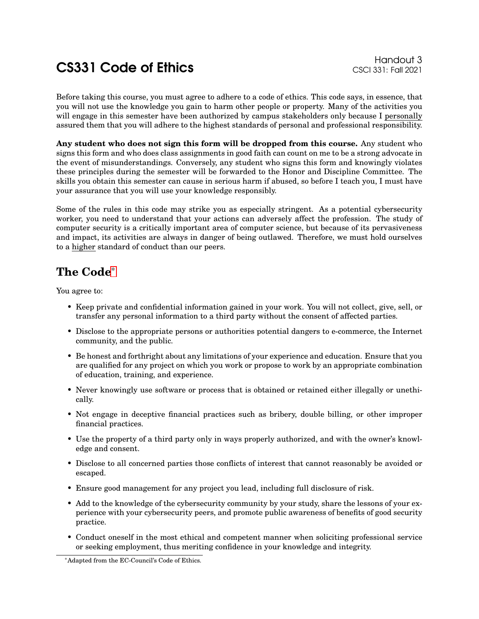## Example of Ethics Handout 3<br>CS331 Foll 2021 Code of Ethics Handout 3

Before taking this course, you must agree to adhere to a code of ethics. This code says, in essence, that you will not use the knowledge you gain to harm other people or property. Many of the activities you will engage in this semester have been authorized by campus stakeholders only because I personally assured them that you will adhere to the highest standards of personal and professional responsibility.

**Any student who does not sign this form will be dropped from this course.** Any student who signs this form and who does class assignments in good faith can count on me to be a strong advocate in the event of misunderstandings. Conversely, any student who signs this form and knowingly violates these principles during the semester will be forwarded to the Honor and Discipline Committee. The skills you obtain this semester can cause in serious harm if abused, so before I teach you, I must have your assurance that you will use your knowledge responsibly.

Some of the rules in this code may strike you as especially stringent. As a potential cybersecurity worker, you need to understand that your actions can adversely affect the profession. The study of computer security is a critically important area of computer science, but because of its pervasiveness and impact, its activities are always in danger of being outlawed. Therefore, we must hold ourselves to a higher standard of conduct than our peers.

## **The Code**[\\*](#page-0-0)

You agree to:

- Keep private and confidential information gained in your work. You will not collect, give, sell, or transfer any personal information to a third party without the consent of affected parties.
- Disclose to the appropriate persons or authorities potential dangers to e-commerce, the Internet community, and the public.
- Be honest and forthright about any limitations of your experience and education. Ensure that you are qualified for any project on which you work or propose to work by an appropriate combination of education, training, and experience.
- Never knowingly use software or process that is obtained or retained either illegally or unethically.
- Not engage in deceptive financial practices such as bribery, double billing, or other improper financial practices.
- Use the property of a third party only in ways properly authorized, and with the owner's knowledge and consent.
- Disclose to all concerned parties those conflicts of interest that cannot reasonably be avoided or escaped.
- Ensure good management for any project you lead, including full disclosure of risk.
- Add to the knowledge of the cybersecurity community by your study, share the lessons of your experience with your cybersecurity peers, and promote public awareness of benefits of good security practice.
- Conduct oneself in the most ethical and competent manner when soliciting professional service or seeking employment, thus meriting confidence in your knowledge and integrity.

<span id="page-0-0"></span><sup>\*</sup>Adapted from the EC-Council's Code of Ethics.